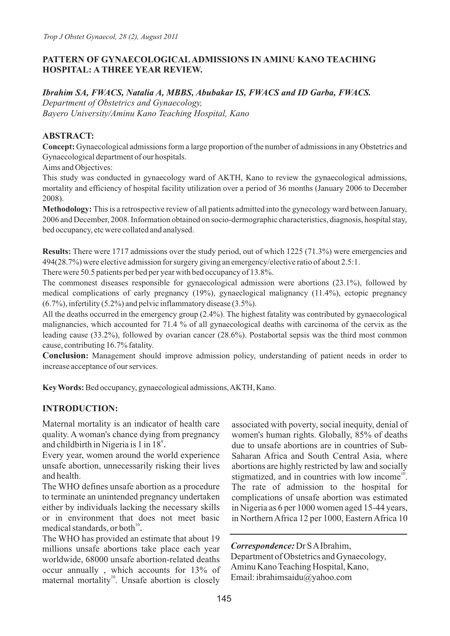### **PATTERN OF GYNAECOLOGICALADMISSIONS IN AMINU KANO TEACHING HOSPITAL: A THREE YEAR REVIEW.**

### *Ibrahim SA, FWACS, Natalia A, MBBS, Abubakar IS, FWACS and ID Garba, FWACS.*

*Department of Obstetrics and Gynaecology, Bayero University/Aminu Kano Teaching Hospital, Kano*

### **ABSTRACT:**

**Concept:** Gynaecological admissions form a large proportion of the number of admissions in any Obstetrics and Gynaecological department of our hospitals.

Aims and Objectives:

This study was conducted in gynaecology ward of AKTH, Kano to review the gynaecological admissions, mortality and efficiency of hospital facility utilization over a period of 36 months (January 2006 to December 2008).

**Methodology:** This is a retrospective review of all patients admitted into the gynecology ward between January, 2006 and December, 2008. Information obtained on socio-dermographic characteristics, diagnosis, hospital stay, bed occupancy, etc were collated and analysed.

**Results:** There were 1717 admissions over the study period, out of which 1225 (71.3%) were emergencies and 494(28.7%) were elective admission for surgery giving an emergency/elective ratio of about 2.5:1. There were 50.5 patients per bed per year with bed occupancy of 13.8%.

The commonest diseases responsible for gynaecological admission were abortions (23.1%), followed by medical complications of early pregnancy (19%), gynaeclogical malignancy (11.4%), ectopic pregnancy (6.7%), infertility (5.2%) and pelvic inflammatory disease (3.5%).

All the deaths occurred in the emergency group (2.4%). The highest fatality was contributed by gynaecological malignancies, which accounted for 71.4 % of all gynaecological deaths with carcinoma of the cervix as the leading cause (33.2%), followed by ovarian cancer (28.6%). Postabortal sepsis was the third most common cause, contributing 16.7% fatality.

**Conclusion:** Management should improve admission policy, understanding of patient needs in order to increase acceptance of our services.

**Key Words:** Bed occupancy, gynaecological admissions, AKTH, Kano.

# **INTRODUCTION:**

Maternal mortality is an indicator of health care quality. A woman's chance dying from pregnancy and childbirth in Nigeria is 1 in 18<sup>9</sup>.

Every year, women around the world experience unsafe abortion, unnecessarily risking their lives and health.

The WHO defines unsafe abortion as a procedure to terminate an unintended pregnancy undertaken either by individuals lacking the necessary skills or in environment that does not meet basic medical standards, or both $^{10}$ .

The WHO has provided an estimate that about 19 millions unsafe abortions take place each year worldwide, 68000 unsafe abortion-related deaths occur annually , which accounts for 13% of maternal mortality<sup>10</sup>. Unsafe abortion is closely

associated with poverty, social inequity, denial of women's human rights. Globally, 85% of deaths due to unsafe abortions are in countries of Sub-Saharan Africa and South Central Asia, where abortions are highly restricted by law and socially stigmatized, and in countries with low income<sup> $10$ </sup>. The rate of admission to the hospital for complications of unsafe abortion was estimated in Nigeria as 6 per 1000 women aged 15-44 years, in Northern Africa 12 per 1000, Eastern Africa 10

*Correspondence:* Dr S AIbrahim,

Department of Obstetrics and Gynaecology, Aminu Kano Teaching Hospital, Kano, Email: ibrahimsaidu@yahoo.com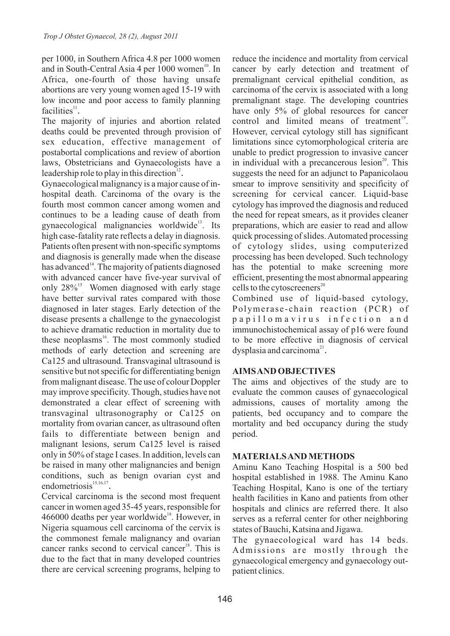per 1000, in Southern Africa 4.8 per 1000 women and in South-Central Asia 4 per 1000 women<sup>10</sup>. In Africa, one-fourth of those having unsafe abortions are very young women aged 15-19 with low income and poor access to family planning  $facilities<sup>11</sup>$ .

The majority of injuries and abortion related deaths could be prevented through provision of sex education, effective management of postabortal complications and review of abortion laws, Obstetricians and Gynaecologists have a leadership role to play in this direction $12$ .

Gynaecological malignancy is a major cause of inhospital death. Carcinoma of the ovary is the fourth most common cancer among women and continues to be a leading cause of death from gynaecological malignancies worldwide<sup>13</sup>. Its high case-fatality rate reflects a delay in diagnosis. Patients often present with non-specific symptoms and diagnosis is generally made when the disease has advanced<sup>14</sup>. The majority of patients diagnosed with advanced cancer have five-year survival of only  $28\%$ <sup>15</sup> Women diagnosed with early stage have better survival rates compared with those diagnosed in later stages. Early detection of the disease presents a challenge to the gynaecologist to achieve dramatic reduction in mortality due to these neoplasms $^{16}$ . The most commonly studied methods of early detection and screening are Ca125 and ultrasound. Transvaginal ultrasound is sensitive but not specific for differentiating benign from malignant disease. The use of colour Doppler may improve specificity. Though, studies have not demonstrated a clear effect of screening with transvaginal ultrasonography or Ca125 on mortality from ovarian cancer, as ultrasound often fails to differentiate between benign and malignant lesions, serum Ca125 level is raised only in 50% of stage I cases. In addition, levels can be raised in many other malignancies and benign conditions, such as benign ovarian cyst and endometriosis<sup>15,16,17</sup>

Cervical carcinoma is the second most frequent cancer in women aged 35-45 years, responsible for 466000 deaths per year worldwide<sup>18</sup>. However, in Nigeria squamous cell carcinoma of the cervix is the commonest female malignancy and ovarian cancer ranks second to cervical cancer<sup>18</sup>. This is due to the fact that in many developed countries there are cervical screening programs, helping to

reduce the incidence and mortality from cervical cancer by early detection and treatment of premalignant cervical epithelial condition, as carcinoma of the cervix is associated with a long premalignant stage. The developing countries have only 5% of global resources for cancer control and limited means of treatment<sup>19</sup>. However, cervical cytology still has significant limitations since cytomorphological criteria are unable to predict progression to invasive cancer in individual with a precancerous lesion $2^0$ . This suggests the need for an adjunct to Papanicolaou smear to improve sensitivity and specificity of screening for cervical cancer. Liquid-base cytology has improved the diagnosis and reduced the need for repeat smears, as it provides cleaner preparations, which are easier to read and allow quick processing of slides. Automated processing of cytology slides, using computerized processing has been developed. Such technology has the potential to make screening more efficient, presenting the most abnormal appearing cells to the cytoscreeners $20$ 

Combined use of liquid-based cytology, Polymerase-chain reaction (PCR) of p a p i l l o m a v i r u s i n f e c t i o n a n d immunochistochemical assay of p16 were found to be more effective in diagnosis of cervical  $dysplasia$  and carcinoma<sup>21</sup>.

### **AIMS AND OBJECTIVES**

The aims and objectives of the study are to evaluate the common causes of gynaecological admissions, causes of mortality among the patients, bed occupancy and to compare the mortality and bed occupancy during the study period.

#### **MATERIALS AND METHODS**

Aminu Kano Teaching Hospital is a 500 bed hospital established in 1988. The Aminu Kano Teaching Hospital, Kano is one of the tertiary health facilities in Kano and patients from other hospitals and clinics are referred there. It also serves as a referral center for other neighboring states of Bauchi, Katsina and Jigawa.

The gynaecological ward has 14 beds. Admissions are mostly through the gynaecological emergency and gynaecology outpatient clinics.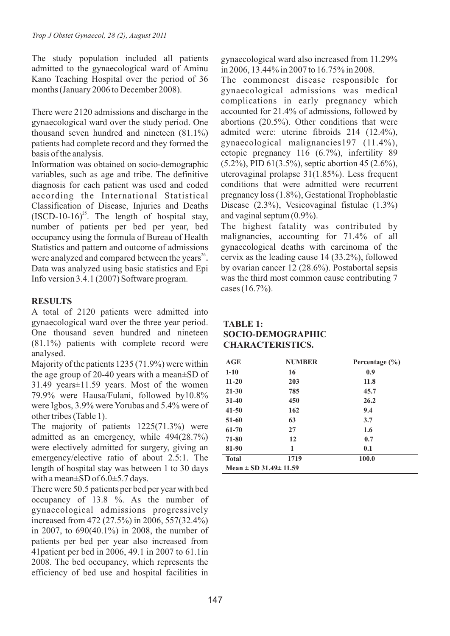The study population included all patients admitted to the gynaecological ward of Aminu Kano Teaching Hospital over the period of 36 months (January 2006 to December 2008).

There were 2120 admissions and discharge in the gynaecological ward over the study period. One thousand seven hundred and nineteen (81.1%) patients had complete record and they formed the basis of the analysis.

Information was obtained on socio-demographic variables, such as age and tribe. The definitive diagnosis for each patient was used and coded according the International Statistical Classification of Disease, Injuries and Deaths  $(ISCD-10-16)^{25}$ . The length of hospital stay, number of patients per bed per year, bed occupancy using the formula of Bureau of Health Statistics and pattern and outcome of admissions were analyzed and compared between the years<sup>26</sup>. Data was analyzed using basic statistics and Epi Info version 3.4.1 (2007) Software program.

# **RESULTS**

A total of 2120 patients were admitted into gynaecological ward over the three year period. One thousand seven hundred and nineteen (81.1%) patients with complete record were analysed.

Majority of the patients 1235 (71.9%) were within the age group of 20-40 years with a mean±SD of 31.49 years±11.59 years. Most of the women 79.9% were Hausa/Fulani, followed by10.8% were Igbos, 3.9% were Yorubas and 5.4% were of other tribes (Table 1).

The majority of patients 1225(71.3%) were admitted as an emergency, while 494(28.7%) were electively admitted for surgery, giving an emergency/elective ratio of about 2.5:1. The length of hospital stay was between 1 to 30 days with a mean $\pm$ SD of 6.0 $\pm$ 5.7 days.

There were 50.5 patients per bed per year with bed occupancy of 13.8 %. As the number of gynaecological admissions progressively increased from 472 (27.5%) in 2006, 557(32.4%) in 2007, to 690(40.1%) in 2008, the number of patients per bed per year also increased from 41patient per bed in 2006, 49.1 in 2007 to 61.1in 2008. The bed occupancy, which represents the efficiency of bed use and hospital facilities in gynaecological ward also increased from 11.29% in 2006, 13.44% in 2007 to 16.75% in 2008.

The commonest disease responsible for gynaecological admissions was medical complications in early pregnancy which accounted for 21.4% of admissions, followed by abortions (20.5%). Other conditions that were admited were: uterine fibroids 214 (12.4%), gynaecological malignancies197 (11.4%), ectopic pregnancy 116 (6.7%), infertility 89 (5.2%), PID 61(3.5%), septic abortion 45 (2.6%), uterovaginal prolapse 31(1.85%). Less frequent conditions that were admitted were recurrent pregnancy loss (1.8%), Gestational Trophoblastic Disease (2.3%), Vesicovaginal fistulae (1.3%) and vaginal septum (0.9%).

The highest fatality was contributed by malignancies, accounting for 71.4% of all gynaecological deaths with carcinoma of the cervix as the leading cause 14 (33.2%), followed by ovarian cancer 12 (28.6%). Postabortal sepsis was the third most common cause contributing 7 cases (16.7%).

### **TABLE 1: SOCIO-DEMOGRAPHIC CHARACTERISTICS.**

| AGE                             | <b>NUMBER</b> | Percentage $(\% )$ |  |  |
|---------------------------------|---------------|--------------------|--|--|
| $1 - 10$                        | 16            | 0.9                |  |  |
| $11 - 20$                       | 203           | 11.8               |  |  |
| $21 - 30$                       | 785           | 45.7               |  |  |
| $31 - 40$                       | 450           | 26.2               |  |  |
| $41 - 50$                       | 162           | 9.4                |  |  |
| $51 - 60$                       | 63            | 3.7                |  |  |
| 61-70                           | 27            | 1.6                |  |  |
| 71-80                           | 12            | 0.7                |  |  |
| 81-90                           | 1             | 0.1                |  |  |
| <b>Total</b>                    | 1719          | 100.0              |  |  |
| Mean $\pm$ SD 31.49 $\pm$ 11.59 |               |                    |  |  |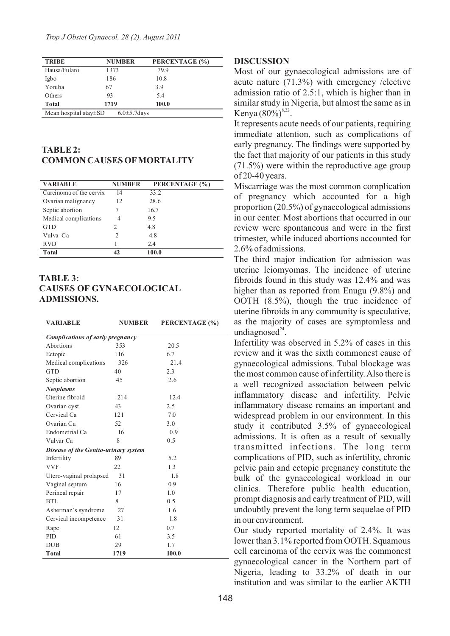| <b>TRIBE</b>                                      | <b>NUMBER</b> | PERCENTAGE (%) |  |
|---------------------------------------------------|---------------|----------------|--|
| Hausa/Fulani                                      | 1373          | 79.9           |  |
| Igbo                                              | 186           | 10.8           |  |
| Yoruba                                            | 67            | 3.9            |  |
| Others                                            | 93            | 5.4            |  |
| <b>Total</b>                                      | 1719          | 100.0          |  |
| Mean hospital stay $\pm$ SD<br>$6.0 \pm 5.7$ days |               |                |  |

#### **TABLE 2: COMMON CAUSES OFMORTALITY**

| <b>VARIABLE</b>         | <b>NUMBER</b>               | PERCENTAGE (%) |
|-------------------------|-----------------------------|----------------|
| Carcinoma of the cervix | 14                          | 33.2           |
| Ovarian malignancy      | 12                          | 28.6           |
| Septic abortion         |                             | 16.7           |
| Medical complications   | 4                           | 9.5            |
| <b>GTD</b>              | 2                           | 4.8            |
| Vulva Ca                | $\mathcal{D}_{\mathcal{L}}$ | 4.8            |
| <b>RVD</b>              |                             | 2.4            |
| <b>Total</b>            |                             | 100.0          |

### **TABLE 3: CAUSES OF GYNAECOLOGICAL ADMISSIONS.**

| <b>VARIABLE</b>                      | <b>NUMBER</b> | PERCENTAGE (%) |  |  |
|--------------------------------------|---------------|----------------|--|--|
| Complications of early pregnancy     |               |                |  |  |
| Abortions                            | 353           | 20.5           |  |  |
| Ectopic                              | 116           | 6.7            |  |  |
| Medical complications                | 326           | 21.4           |  |  |
| <b>GTD</b>                           | 40            | 2.3            |  |  |
| Septic abortion                      | 45            | 2.6            |  |  |
| <b>Neoplasms</b>                     |               |                |  |  |
| Uterine fibroid                      | 214           | 12.4           |  |  |
| Ovarian cyst                         | 43            | 2.5            |  |  |
| Cervical Ca                          | 121           | 7.0            |  |  |
| Ovarian Ca                           | 52            | 3.0            |  |  |
| Endometrial Ca                       | 16            | 0.9            |  |  |
| Vulvar Ca                            | 8             | 0.5            |  |  |
| Disease of the Genito-urinary system |               |                |  |  |
| Infertility                          | 89            | 5.2            |  |  |
| <b>VVF</b>                           | 22            | 1.3            |  |  |
| Utero-vaginal prolapsed              | 31            | 1.8            |  |  |
| Vaginal septum                       | 16            | 0.9            |  |  |
| Perineal repair                      | 17            | 1.0            |  |  |
| BTL                                  | 8             | 0.5            |  |  |
| Asherman's syndrome                  | 27            | 1.6            |  |  |
| Cervical incompetence                | 31            | 1.8            |  |  |
| Rape                                 | 12            | 0.7            |  |  |
| <b>PID</b>                           | 61            | 3.5            |  |  |
| <b>DUB</b>                           | 29            | 1.7            |  |  |
| <b>Total</b>                         | 1719          | 100.0          |  |  |

#### **DISCUSSION**

Most of our gynaecological admissions are of acute nature (71.3%) with emergency /elective admission ratio of 2.5:1, which is higher than in similar study in Nigeria, but almost the same as in Kenya  $(80\%)^{8,22}$ .

It represents acute needs of our patients, requiring immediate attention, such as complications of early pregnancy. The findings were supported by the fact that majority of our patients in this study (71.5%) were within the reproductive age group of 20-40 years.

Miscarriage was the most common complication of pregnancy which accounted for a high proportion (20.5%) of gynaecological admissions in our center. Most abortions that occurred in our review were spontaneous and were in the first trimester, while induced abortions accounted for 2.6% of admissions.

The third major indication for admission was uterine leiomyomas. The incidence of uterine fibroids found in this study was 12.4% and was higher than as reported from Enugu (9.8%) and OOTH (8.5%), though the true incidence of uterine fibroids in any community is speculative, as the majority of cases are symptomless and undiagnosed $24$ .

Infertility was observed in 5.2% of cases in this review and it was the sixth commonest cause of gynaecological admissions. Tubal blockage was the most common cause of infertility. Also there is a well recognized association between pelvic inflammatory disease and infertility. Pelvic inflammatory disease remains an important and widespread problem in our environment. In this study it contributed 3.5% of gynaecological admissions. It is often as a result of sexually transmitted infections. The long term complications of PID, such as infertility, chronic pelvic pain and ectopic pregnancy constitute the bulk of the gynaecological workload in our clinics. Therefore public health education, prompt diagnosis and early treatment of PID, will undoubtly prevent the long term sequelae of PID in our environment.

Our study reported mortality of 2.4%. It was lower than 3.1% reported from OOTH. Squamous cell carcinoma of the cervix was the commonest gynaecological cancer in the Northern part of Nigeria, leading to 33.2% of death in our institution and was similar to the earlier AKTH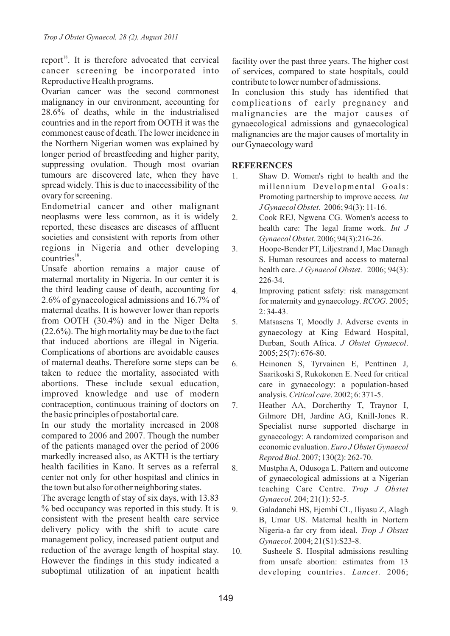report<sup>18</sup>. It is therefore advocated that cervical cancer screening be incorporated into Reproductive Health programs.

Ovarian cancer was the second commonest malignancy in our environment, accounting for 28.6% of deaths, while in the industrialised countries and in the report from OOTH it was the commonest cause of death. The lower incidence in the Northern Nigerian women was explained by longer period of breastfeeding and higher parity, suppressing ovulation. Though most ovarian tumours are discovered late, when they have spread widely. This is due to inaccessibility of the ovary for screening.

Endometrial cancer and other malignant neoplasms were less common, as it is widely reported, these diseases are diseases of affluent societies and consistent with reports from other regions in Nigeria and other developing countries<sup>18</sup>.

Unsafe abortion remains a major cause of maternal mortality in Nigeria. In our center it is the third leading cause of death, accounting for 2.6% of gynaecological admissions and 16.7% of maternal deaths. It is however lower than reports from OOTH (30.4%) and in the Niger Delta (22.6%). The high mortality may be due to the fact that induced abortions are illegal in Nigeria. Complications of abortions are avoidable causes of maternal deaths. Therefore some steps can be taken to reduce the mortality, associated with abortions. These include sexual education, improved knowledge and use of modern contraception, continuous training of doctors on the basic principles of postabortal care.

In our study the mortality increased in 2008 compared to 2006 and 2007. Though the number of the patients managed over the period of 2006 markedly increased also, as AKTH is the tertiary health facilities in Kano. It serves as a referral center not only for other hospitasl and clinics in the town but also for other neighboring states.

The average length of stay of six days, with 13.83 % bed occupancy was reported in this study. It is consistent with the present health care service delivery policy with the shift to acute care management policy, increased patient output and reduction of the average length of hospital stay. However the findings in this study indicated a suboptimal utilization of an inpatient health

facility over the past three years. The higher cost of services, compared to state hospitals, could contribute to lower number of admissions.

In conclusion this study has identified that complications of early pregnancy and malignancies are the major causes of gynaecological admissions and gynaecological malignancies are the major causes of mortality in our Gynaecology ward

# **REFERENCES**

- 1. Shaw D. Women's right to health and the millennium Developmental Goals: Promoting partnership to improve access*. Int J Gynaecol Obstet*. 2006; 94(3): 11-16.
- 2. Cook REJ, Ngwena CG. Women's access to health care: The legal frame work. *Int J Gynaecol Obstet*. 2006; 94(3):216-26.
- 3. Hoope-Bender PT, Liljestrand J, Mac Danagh S. Human resources and access to maternal health care. *J Gynaecol Obstet*. 2006; 94(3): 226-34.
- 4. Improving patient safety: risk management for maternity and gynaecology. *RCOG*. 2005; 2: 34-43.
- 5. Matsasens T, Moodly J. Adverse events in gynaecology at King Edward Hospital, Durban, South Africa. *J Obstet Gynaecol*. 2005; 25(7): 676-80.
- 6. Heinonen S, Tyrvainen E, Penttinen J, Saarikoski S, Rukokonen E. Need for critical care in gynaecology: a population-based analysis. *Critical care*. 2002; 6: 371-5.
- 7. Heather AA, Dorcherthy T, Traynor I, Gilmore DH, Jardine AG, Knill-Jones R. Specialist nurse supported discharge in gynaecology: A randomized comparison and economic evaluation. *Euro J Obstet Gynaecol Reprod Biol*. 2007; 130(2): 262-70.
- 8. Mustpha A, Odusoga L. Pattern and outcome of gynaecological admissions at a Nigerian teaching Care Centre. *Trop J Obstet Gynaecol*. 204; 21(1): 52-5.
- 9. Galadanchi HS, Ejembi CL, Iliyasu Z, Alagh B, Umar US. Maternal health in Nortern Nigeria-a far cry from ideal. *Trop J Obstet Gynaecol*. 2004; 21(S1):S23-8.
- 10. Susheele S. Hospital admissions resulting from unsafe abortion: estimates from 13 developing countries. *Lancet*. 2006;